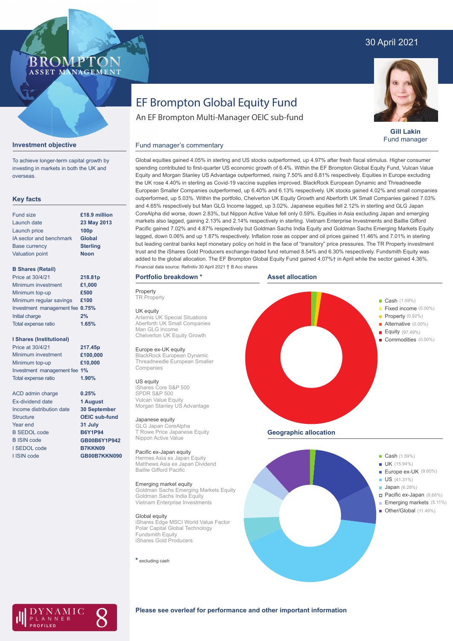# 30 April 2021

## BROMP ASSET MANAGEMENT

# EF Brompton Global Equity Fund

An EF Brompton Multi-Manager OEIC sub-fund



**Gill Lakin** Fund manager

### Fund manager's commentary



To achieve longer-term capital growth by investing in markets in both the UK and overseas.

## **Key facts**

| <b>Fund size</b>        | £18.9 million    |
|-------------------------|------------------|
| Launch date             | 23 May 2013      |
| Launch price            | 100 <sub>p</sub> |
| IA sector and benchmark | Global           |
| <b>Base currency</b>    | <b>Sterling</b>  |
| <b>Valuation point</b>  | <b>Noon</b>      |
|                         |                  |

### **B Shares (Retail)**

| Price at 30/4/21                | 218.81p |
|---------------------------------|---------|
| Minimum investment              | £1,000  |
| Minimum top-up                  | £500    |
| Minimum regular savings         | £100    |
| Investment management fee 0.75% |         |
| Initial charge                  | 2%      |
| Total expense ratio             | 1.65%   |
|                                 |         |

### **I Shares (Institutional)**

| Price at 30/4/21             | 217.45p |
|------------------------------|---------|
| Minimum investment           | £100.00 |
| Minimum top-up               | £10,000 |
| Investment management fee 1% |         |
| <b>Total expense ratio</b>   | 1.90%   |

ACD admin charge Ex-dividend date Income distribution date **Structure** Year end B SEDOL code B ISIN code I SEDOL code I ISIN code

**£100,000**

#### **0.25% 1 August 30 September OEIC sub-fund 31 July B6Y1P94 GB00B6Y1P942 B7KKN09 GB00B7KKN090**

outperformed, up 5.03%. Within the portfolio, Chelverton UK Equity Growth and Aberforth UK Small Companies gained 7.03% and 4.65% respectively but Man GLG Income lagged, up 3.02%. Japanese equities fell 2.12% in sterling and GLG Japan CoreAlpha did worse, down 2.83%, but Nippon Active Value fell only 0.59%. Equities in Asia excluding Japan and emerging markets also lagged, gaining 2.13% and 2.14% respectively in sterling. Vietnam Enterprise Investments and Baillie Gifford Pacific gained 7.02% and 4.87% respectively but Goldman Sachs India Equity and Goldman Sachs Emerging Markets Equity lagged, down 0.06% and up 1.87% respectively. Inflation rose as copper and oil prices gained 11.46% and 7.01% in sterling but leading central banks kept monetary policy on hold in the face of "transitory" price pressures. The TR Property investment trust and the iShares Gold Producers exchange-traded fund returned 8.54% and 6.30% respectively. Fundsmith Equity was added to the global allocation. The EF Brompton Global Equity Fund gained 4.07%† in April while the sector gained 4.36%. **Portfolio breakdown \*** Financial data source: Refinitiv 30 April 2021 † B Acc shares

Global equities gained 4.05% in sterling and US stocks outperformed, up 4.97% after fresh fiscal stimulus. Higher consumer spending contributed to first-quarter US economic growth of 6.4%. Within the EF Brompton Global Equity Fund, Vulcan Value Equity and Morgan Stanley US Advantage outperformed, rising 7.50% and 6.81% respectively. Equities in Europe excluding the UK rose 4.40% in sterling as Covid-19 vaccine supplies improved. BlackRock European Dynamic and Threadneedle European Smaller Companies outperformed, up 6.40% and 6.13% respectively. UK stocks gained 4.02% and small companies

**Property TR Property** 

UK equity Artemis UK Special Situations Aberforth UK Small Companies Man GLG Income Chelverton UK Equity Growth

#### Europe ex-UK equity

BlackRock European Dynamic Threadneedle European Smaller Companies

#### US equity

iShares Core S&P 500 SPDR S&P 500 Vulcan Value Equity Morgan Stanley US Advantage

#### Japanese equity

GLG Japan CoreAlpha T Rowe Price Japanese Equity Nippon Active Value

#### Pacific ex-Japan equity

Hermes Asia ex Japan Equity Matthews Asia ex Japan Dividend Baillie Gifford Pacific

#### Emerging market equity

Goldman Sachs Emerging Markets Equity Goldman Sachs India Equity Vietnam Enterprise Investments

Global equity iShares Edge MSCI World Value Factor Polar Capital Global Technology Fundsmith Equity iShares Gold Producers

**\*** excluding cash







### **Please see overleaf for performance and other important information**